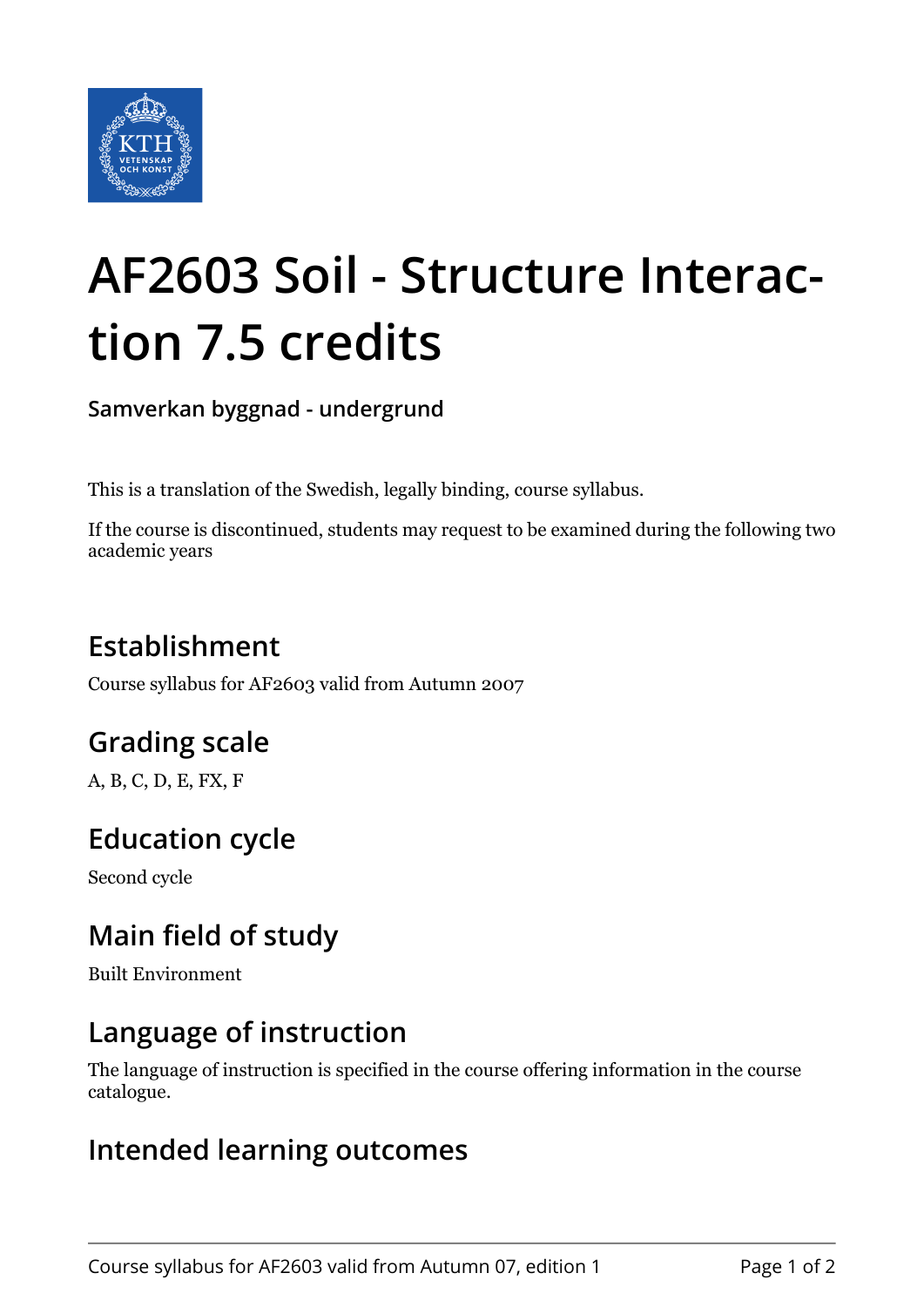

# **AF2603 Soil - Structure Interaction 7.5 credits**

**Samverkan byggnad - undergrund**

This is a translation of the Swedish, legally binding, course syllabus.

If the course is discontinued, students may request to be examined during the following two academic years

## **Establishment**

Course syllabus for AF2603 valid from Autumn 2007

## **Grading scale**

A, B, C, D, E, FX, F

## **Education cycle**

Second cycle

## **Main field of study**

Built Environment

#### **Language of instruction**

The language of instruction is specified in the course offering information in the course catalogue.

#### **Intended learning outcomes**